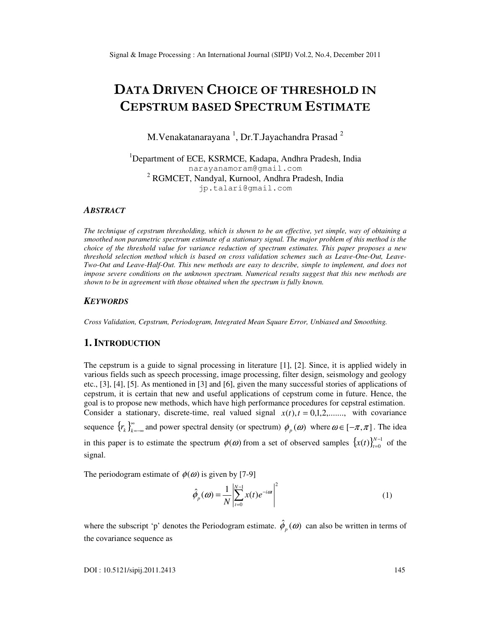# DATA DRIVEN CHOICE OF THRESHOLD IN CEPSTRUM BASED SPECTRUM ESTIMATE

M.Venakatanarayana  $^1$ , Dr.T.Jayachandra Prasad  $^2$ 

<sup>1</sup>Department of ECE, KSRMCE, Kadapa, Andhra Pradesh, India narayanamoram@gmail.com <sup>2</sup> RGMCET, Nandyal, Kurnool, Andhra Pradesh, India jp.talari@gmail.com

#### *ABSTRACT*

*The technique of cepstrum thresholding, which is shown to be an effective, yet simple, way of obtaining a smoothed non parametric spectrum estimate of a stationary signal. The major problem of this method is the choice of the threshold value for variance reduction of spectrum estimates. This paper proposes a new threshold selection method which is based on cross validation schemes such as Leave-One-Out, Leave-Two-Out and Leave-Half-Out. This new methods are easy to describe, simple to implement, and does not impose severe conditions on the unknown spectrum. Numerical results suggest that this new methods are shown to be in agreement with those obtained when the spectrum is fully known.* 

#### *KEYWORDS*

*Cross Validation, Cepstrum, Periodogram, Integrated Mean Square Error, Unbiased and Smoothing.* 

## **1. INTRODUCTION**

The cepstrum is a guide to signal processing in literature [1], [2]. Since, it is applied widely in various fields such as speech processing, image processing, filter design, seismology and geology etc., [3], [4], [5]. As mentioned in [3] and [6], given the many successful stories of applications of cepstrum, it is certain that new and useful applications of cepstrum come in future. Hence, the goal is to propose new methods, which have high performance procedures for cepstral estimation. Consider a stationary, discrete-time, real valued signal  $x(t)$ ,  $t = 0,1,2,...$ , with covariance sequence  $\{r_k\}_{k=1}^{\infty}$  $r_k$   $\int_{k=-\infty}^{\infty}$  and power spectral density (or spectrum)  $\phi_p(\omega)$  where  $\omega \in [-\pi,\pi]$ . The idea in this paper is to estimate the spectrum  $\phi(\omega)$  from a set of observed samples  $\{x(t)\}_{t=0}^{N-1}$  $(t)\}_{t=0}^{N-}$ = *N*  $x(t)$ <sub> $t=0$ </sub><sup>*N*-1</sup> of the signal.

The periodogram estimate of  $\phi(\omega)$  is given by [7-9]

$$
\hat{\phi}_p(\omega) = \frac{1}{N} \left| \sum_{t=0}^{N-1} x(t) e^{-i\omega t} \right|^2 \tag{1}
$$

where the subscript 'p' denotes the Periodogram estimate.  $\hat{\phi}_p(\omega)$  can also be written in terms of the covariance sequence as

DOI : 10.5121/sipij.2011.2413 145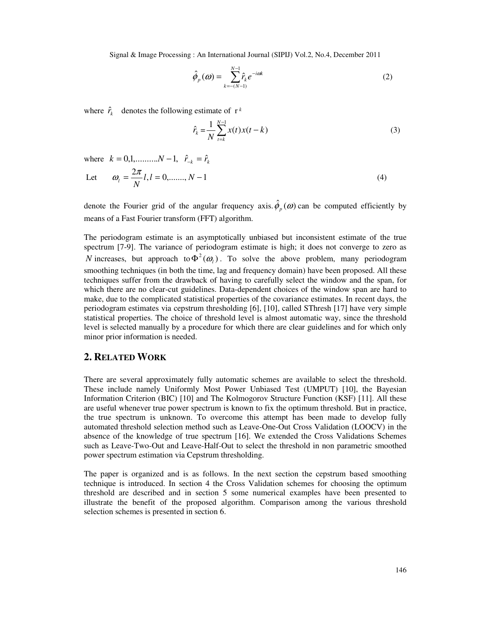$$
\hat{\phi}_p(\omega) = \sum_{k=-(N-1)}^{N-1} \hat{r}_k e^{-i\alpha k} \tag{2}
$$

where  $\hat{r}_k$  denotes the following estimate of  $r^k$ 

$$
\hat{r}_k = \frac{1}{N} \sum_{t=k}^{N-1} x(t) x(t-k)
$$
\n(3)

where 
$$
k = 0,1, \dots, N-1, \quad \hat{r}_{-k} = \hat{r}_{k}
$$
  
Let  $\omega_{l} = \frac{2\pi}{N}l, l = 0, \dots, N-1$  (4)

denote the Fourier grid of the angular frequency axis.  $\hat{\phi}_p(\omega)$  can be computed efficiently by means of a Fast Fourier transform (FFT) algorithm.

The periodogram estimate is an asymptotically unbiased but inconsistent estimate of the true spectrum [7-9]. The variance of periodogram estimate is high; it does not converge to zero as *N* increases, but approach to  $\Phi^2(\omega_i)$ . To solve the above problem, many periodogram smoothing techniques (in both the time, lag and frequency domain) have been proposed. All these techniques suffer from the drawback of having to carefully select the window and the span, for which there are no clear-cut guidelines. Data-dependent choices of the window span are hard to make, due to the complicated statistical properties of the covariance estimates. In recent days, the periodogram estimates via cepstrum thresholding [6], [10], called SThresh [17] have very simple statistical properties. The choice of threshold level is almost automatic way, since the threshold level is selected manually by a procedure for which there are clear guidelines and for which only minor prior information is needed.

### **2. RELATED WORK**

There are several approximately fully automatic schemes are available to select the threshold. These include namely Uniformly Most Power Unbiased Test (UMPUT) [10], the Bayesian Information Criterion (BIC) [10] and The Kolmogorov Structure Function (KSF) [11]. All these are useful whenever true power spectrum is known to fix the optimum threshold. But in practice, the true spectrum is unknown. To overcome this attempt has been made to develop fully automated threshold selection method such as Leave-One-Out Cross Validation (LOOCV) in the absence of the knowledge of true spectrum [16]. We extended the Cross Validations Schemes such as Leave-Two-Out and Leave-Half-Out to select the threshold in non parametric smoothed power spectrum estimation via Cepstrum thresholding.

The paper is organized and is as follows. In the next section the cepstrum based smoothing technique is introduced. In section 4 the Cross Validation schemes for choosing the optimum threshold are described and in section 5 some numerical examples have been presented to illustrate the benefit of the proposed algorithm. Comparison among the various threshold selection schemes is presented in section 6.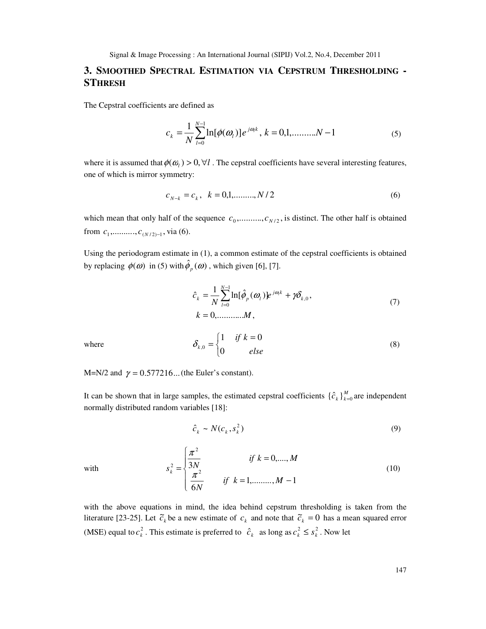## **3. SMOOTHED SPECTRAL ESTIMATION VIA CEPSTRUM THRESHOLDING - STHRESH**

The Cepstral coefficients are defined as

$$
c_k = \frac{1}{N} \sum_{l=0}^{N-1} \ln[\phi(\omega_l)] e^{j\omega_l k}, k = 0, 1, \dots, N-1
$$
 (5)

where it is assumed that  $\phi(\omega_i) > 0, \forall l$ . The cepstral coefficients have several interesting features, one of which is mirror symmetry:

$$
c_{N-k} = c_k, \quad k = 0, 1, \dots, N/2 \tag{6}
$$

which mean that only half of the sequence  $c_0$ ,.........,  $c_{N/2}$ , is distinct. The other half is obtained from  $c_1$ ,.........,  $c_{(N/2)-1}$ , via (6).

Using the periodogram estimate in (1), a common estimate of the cepstral coefficients is obtained by replacing  $\phi(\omega)$  in (5) with  $\hat{\phi}_p(\omega)$ , which given [6], [7].

$$
\hat{c}_k = \frac{1}{N} \sum_{l=0}^{N-1} \ln[\hat{\phi}_p(\omega_l)] e^{j\omega_l k} + \gamma \delta_{k,0},
$$
\n(7)\n  
\n
$$
k = 0, \dots, M,
$$
\n
$$
\delta_{k,0} = \begin{cases}\n1 & \text{if } k = 0 \\
0 & \text{else}\n\end{cases}
$$
\n(8)

where

M=N/2 and  $\gamma = 0.577216...$  (the Euler's constant).

It can be shown that in large samples, the estimated cepstral coefficients  $\{\hat{c}_k\}_{k=0}^M$  are independent normally distributed random variables [18]:

*else*

 $\mathfrak{t}$ 

$$
\hat{c}_k \sim N(c_k, s_k^2) \tag{9}
$$

with

$$
s_k^2 = \begin{cases} \frac{\pi^2}{3N} & \text{if } k = 0, \dots, M\\ \frac{\pi^2}{6N} & \text{if } k = 1, \dots, M - 1 \end{cases}
$$
 (10)

with the above equations in mind, the idea behind cepstrum thresholding is taken from the literature [23-25]. Let  $\tilde{c}_k$  be a new estimate of  $c_k$  and note that  $\tilde{c}_k = 0$  has a mean squared error (MSE) equal to  $c_k^2$ . This estimate is preferred to  $\hat{c}_k$  as long as  $c_k^2 \leq s_k^2$ . Now let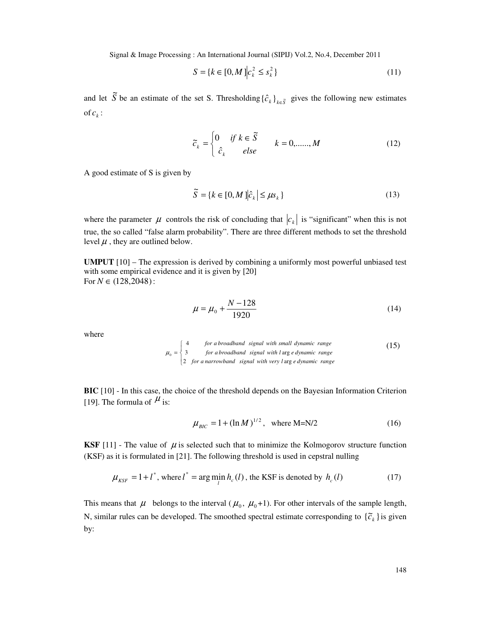$$
S = \{k \in [0, M]|c_k^2 \le s_k^2\}
$$
\n(11)

and let  $\tilde{S}$ be an estimate of the set S. Thresholding  $\{\hat{c}_k\}_{k \in \tilde{S}}$  gives the following new estimates of  $c_k$ :

$$
\widetilde{c}_k = \begin{cases} 0 & \text{if } k \in \widetilde{S} \\ \hat{c}_k & \text{else} \end{cases} \quad k = 0, \dots, M \tag{12}
$$

A good estimate of S is given by

$$
\widetilde{S} = \{k \in [0, M] | \hat{c}_k | \le \mu s_k\}
$$
\n(13)

where the parameter  $\mu$  controls the risk of concluding that  $|c_k|$  is "significant" when this is not true, the so called "false alarm probability". There are three different methods to set the threshold level  $\mu$ , they are outlined below.

**UMPUT** [10] – The expression is derived by combining a uniformly most powerful unbiased test with some empirical evidence and it is given by [20] For  $N \in (128, 2048)$ :

$$
\mu = \mu_0 + \frac{N - 128}{1920} \tag{14}
$$

where

$$
\mu_0 = \begin{cases}\n4 & \text{for a broadband signal with small dynamic range} \\
3 & \text{for a broadband signal with } \log e \text{ dynamic range} \\
2 & \text{for a narrowband signal with very large dynamic range}\n\end{cases}
$$
\n(15)

**BIC** [10] - In this case, the choice of the threshold depends on the Bayesian Information Criterion [19]. The formula of  $\mu$  is:

$$
\mu_{BIC} = 1 + (\ln M)^{1/2}, \text{ where M=N/2} \tag{16}
$$

**KSF** [11] - The value of  $\mu$  is selected such that to minimize the Kolmogorov structure function (KSF) as it is formulated in [21]. The following threshold is used in cepstral nulling

$$
\mu_{KSF} = 1 + l^*, \text{ where } l^* = \arg\min_{l} h_c(l), \text{ the KSF is denoted by } h_c(l)
$$
 (17)

This means that  $\mu$  belongs to the interval ( $\mu_0$ ,  $\mu_0$ +1). For other intervals of the sample length, N, similar rules can be developed. The smoothed spectral estimate corresponding to  $\{\tilde{c}_k\}$  is given by: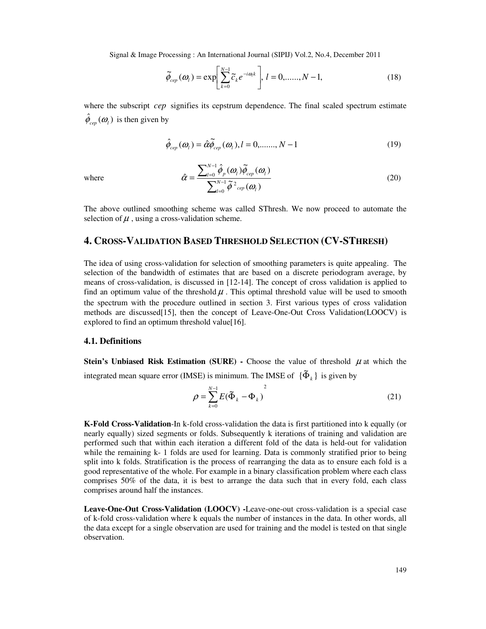$$
\widetilde{\phi}_{cep}(\omega_l) = \exp\left[\sum_{k=0}^{N-1} \widetilde{c}_k e^{-i\omega_l k}\right], l = 0, \dots, N-1,
$$
\n(18)

where the subscript *cep* signifies its cepstrum dependence. The final scaled spectrum estimate  $\hat{\phi}_{cep}(\omega_l)$  is then given by

$$
\hat{\phi}_{cep}(\omega_l) = \hat{\alpha}\tilde{\phi}_{cep}(\omega_l), l = 0, \dots, N - 1
$$
\n(19)

where

$$
\hat{\alpha} = \frac{\sum_{l=0}^{N-1} \hat{\phi}_p(\omega_l) \tilde{\phi}_{cep}(\omega_l)}{\sum_{l=0}^{N-1} \tilde{\phi}^2_{cep}(\omega_l)}
$$
(20)

The above outlined smoothing scheme was called SThresh. We now proceed to automate the selection of  $\mu$ , using a cross-validation scheme.

## **4. CROSS-VALIDATION BASED THRESHOLD SELECTION (CV-STHRESH)**

The idea of using cross-validation for selection of smoothing parameters is quite appealing. The selection of the bandwidth of estimates that are based on a discrete periodogram average, by means of cross-validation, is discussed in [12-14]. The concept of cross validation is applied to find an optimum value of the threshold  $\mu$ . This optimal threshold value will be used to smooth the spectrum with the procedure outlined in section 3. First various types of cross validation methods are discussed[15], then the concept of Leave-One-Out Cross Validation(LOOCV) is explored to find an optimum threshold value[16].

#### **4.1. Definitions**

**Stein's Unbiased Risk Estimation (SURE) - Choose the value of threshold**  $\mu$  **at which the** integrated mean square error (IMSE) is minimum. The IMSE of  $\{\tilde{\Phi}_k\}$  is given by

$$
\rho = \sum_{k=0}^{N-1} E(\tilde{\Phi}_k - \Phi_k)^2
$$
\n(21)

**K-Fold Cross-Validation**-In k-fold cross-validation the data is first partitioned into k equally (or nearly equally) sized segments or folds. Subsequently k iterations of training and validation are performed such that within each iteration a different fold of the data is held-out for validation while the remaining k- 1 folds are used for learning. Data is commonly stratified prior to being split into k folds. Stratification is the process of rearranging the data as to ensure each fold is a good representative of the whole. For example in a binary classification problem where each class comprises 50% of the data, it is best to arrange the data such that in every fold, each class comprises around half the instances.

**Leave-One-Out Cross-Validation (LOOCV) -**Leave-one-out cross-validation is a special case of k-fold cross-validation where k equals the number of instances in the data. In other words, all the data except for a single observation are used for training and the model is tested on that single observation.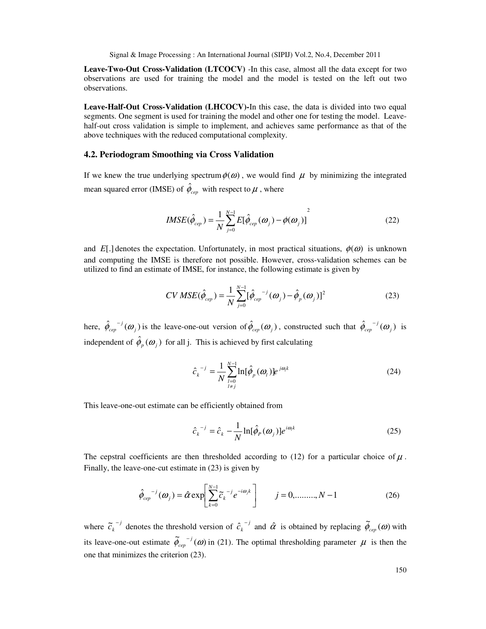**Leave-Two-Out Cross-Validation (LTCOCV)** -In this case, almost all the data except for two observations are used for training the model and the model is tested on the left out two observations.

**Leave-Half-Out Cross-Validation (LHCOCV)-**In this case, the data is divided into two equal segments. One segment is used for training the model and other one for testing the model. Leavehalf-out cross validation is simple to implement, and achieves same performance as that of the above techniques with the reduced computational complexity.

#### **4.2. Periodogram Smoothing via Cross Validation**

If we knew the true underlying spectrum  $\phi(\omega)$ , we would find  $\mu$  by minimizing the integrated mean squared error (IMSE) of  $\hat{\phi}_{cep}$  with respect to  $\mu$  , where

$$
IMSE(\hat{\phi}_{cep}) = \frac{1}{N} \sum_{j=0}^{N-1} E[\hat{\phi}_{cep}(\omega_j) - \phi(\omega_j)]^2
$$
 (22)

and *E*[.] denotes the expectation. Unfortunately, in most practical situations,  $\phi(\omega)$  is unknown and computing the IMSE is therefore not possible. However, cross-validation schemes can be utilized to find an estimate of IMSE, for instance, the following estimate is given by

$$
CV MSE(\hat{\phi}_{cep}) = \frac{1}{N} \sum_{j=0}^{N-1} [\hat{\phi}_{cep}^{-j}(\omega_j) - \hat{\phi}_p(\omega_j)]^2
$$
 (23)

here,  $\hat{\phi}_{cep}^{-j}(\omega_j)$  $\hat{\phi}_{cep}^{-j}(\omega_j)$  is the leave-one-out version of  $\hat{\phi}_{cep}(\omega_j)$ , constructed such that  $\hat{\phi}_{cep}^{-j}(\omega_j)$  $\hat{\phi}_{cep}^{-j}(\boldsymbol{\omega}_j)$  is independent of  $\hat{\phi}_p(\omega_j)$  for all j. This is achieved by first calculating

$$
\hat{c}_k^{-j} = \frac{1}{N} \sum_{\substack{l=0 \ l \neq j}}^{N-1} \ln[\hat{\phi}_p(\omega_l)] e^{j\omega_l k}
$$
 (24)

This leave-one-out estimate can be efficiently obtained from

$$
\hat{c}_k^{-j} = \hat{c}_k - \frac{1}{N} \ln[\hat{\phi}_P(\omega_j)] e^{i\omega_k}
$$
 (25)

The cepstral coefficients are then thresholded according to (12) for a particular choice of  $\mu$ . Finally, the leave-one-cut estimate in (23) is given by

$$
\hat{\phi}_{cep}^{-j}(\omega_j) = \hat{\alpha} \exp\left[\sum_{k=0}^{N-1} \tilde{c}_k^{-j} e^{-i\omega_j k}\right] \qquad j = 0, \dots, N-1 \tag{26}
$$

where  $\tilde{c}_k^{-1}$  denotes the threshold version of  $\hat{c}_k^{-1}$  and  $\hat{\alpha}$  is obtained by replacing  $\tilde{\phi}_{cep}(\omega)$  with its leave-one-out estimate  $\tilde{\phi}_{\text{cen}}^{-1}(\omega)$ *cep*  $\mu$  is then the optimal thresholding parameter  $\mu$  is then the one that minimizes the criterion (23).

150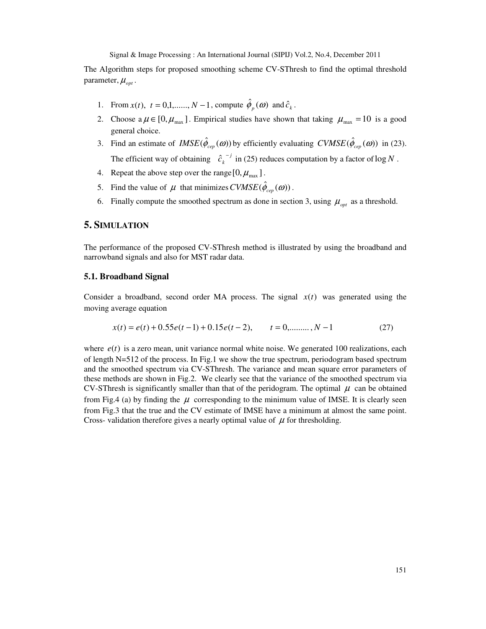The Algorithm steps for proposed smoothing scheme CV-SThresh to find the optimal threshold parameter,  $\mu_{opt}$ .

- 1. From  $x(t)$ ,  $t = 0,1, \ldots, N-1$ , compute  $\hat{\phi}_p(\omega)$  and  $\hat{c}_k$ .
- 2. Choose  $a \mu \in [0, \mu_{\text{max}}]$ . Empirical studies have shown that taking  $\mu_{\text{max}} = 10$  is a good general choice.
- 3. Find an estimate of  $IMSE(\hat{\phi}_{cep}(\omega))$  by efficiently evaluating  $CVMSE(\hat{\phi}_{cep}(\omega))$  in (23). The efficient way of obtaining  $\hat{c}_k^{-j}$  in (25) reduces computation by a factor of log *N*.
- 4. Repeat the above step over the range  $[0, \mu_{\text{max}}]$ .
- 5. Find the value of  $\mu$  that minimizes  $CVMSE(\hat{\phi}_{cen}(\omega))$ .
- 6. Finally compute the smoothed spectrum as done in section 3, using  $\mu_{opt}$  as a threshold.

#### **5. SIMULATION**

The performance of the proposed CV-SThresh method is illustrated by using the broadband and narrowband signals and also for MST radar data.

#### **5.1. Broadband Signal**

Consider a broadband, second order MA process. The signal *x*(*t*) was generated using the moving average equation

$$
x(t) = e(t) + 0.55e(t-1) + 0.15e(t-2), \qquad t = 0, \dots, N-1
$$
 (27)

where  $e(t)$  is a zero mean, unit variance normal white noise. We generated 100 realizations, each of length N=512 of the process. In Fig.1 we show the true spectrum, periodogram based spectrum and the smoothed spectrum via CV-SThresh. The variance and mean square error parameters of these methods are shown in Fig.2. We clearly see that the variance of the smoothed spectrum via CV-SThresh is significantly smaller than that of the peridogram. The optimal  $\mu$  can be obtained from Fig.4 (a) by finding the  $\mu$  corresponding to the minimum value of IMSE. It is clearly seen from Fig.3 that the true and the CV estimate of IMSE have a minimum at almost the same point. Cross- validation therefore gives a nearly optimal value of  $\mu$  for thresholding.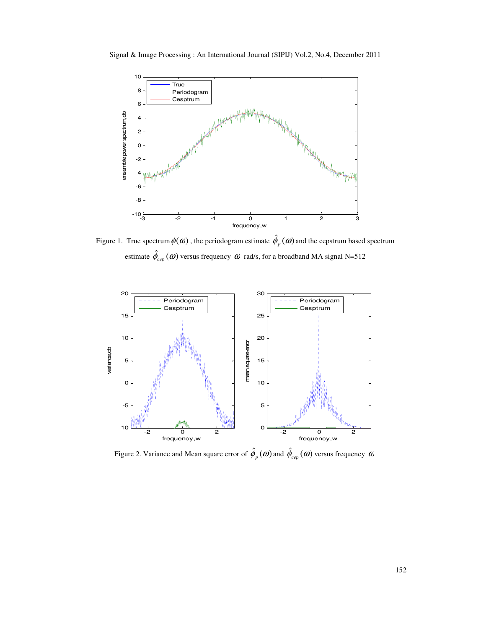



Figure 1. True spectrum  $\phi(\omega)$  , the periodogram estimate  $\hat{\phi}_p(\omega)$  and the cepstrum based spectrum estimate  $\hat{\phi}_{cep}(\omega)$  versus frequency  $\omega$  rad/s, for a broadband MA signal N=512



Figure 2. Variance and Mean square error of  $\hat{\phi}_p(\omega)$  and  $\hat{\phi}_{cep}(\omega)$  versus frequency  $\omega$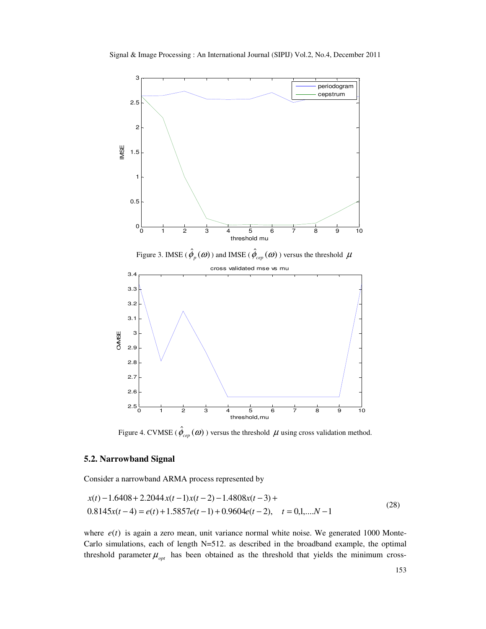

Figure 4. CVMSE ( $\hat{\phi}_{cep}(\omega)$ ) versus the threshold  $\mu$  using cross validation method.

#### **5.2. Narrowband Signal**

Consider a narrowband ARMA process represented by

$$
x(t) - 1.6408 + 2.2044 x(t-1)x(t-2) - 1.4808x(t-3) +
$$
  
0.8145x(t-4) = e(t) + 1.5857e(t-1) + 0.9604e(t-2), t = 0,1,...N-1 (28)

where  $e(t)$  is again a zero mean, unit variance normal white noise. We generated 1000 Monte-Carlo simulations, each of length N=512. as described in the broadband example, the optimal threshold parameter  $\mu_{opt}$  has been obtained as the threshold that yields the minimum cross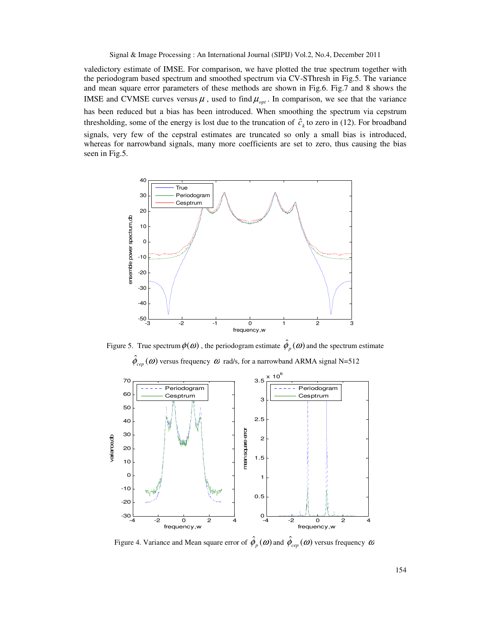valedictory estimate of IMSE. For comparison, we have plotted the true spectrum together with the periodogram based spectrum and smoothed spectrum via CV-SThresh in Fig.5. The variance and mean square error parameters of these methods are shown in Fig.6. Fig.7 and 8 shows the IMSE and CVMSE curves versus  $\mu$ , used to find  $\mu_{opt}$ . In comparison, we see that the variance has been reduced but a bias has been introduced. When smoothing the spectrum via cepstrum thresholding, some of the energy is lost due to the truncation of  $\hat{c}_k$  to zero in (12). For broadband signals, very few of the cepstral estimates are truncated so only a small bias is introduced, whereas for narrowband signals, many more coefficients are set to zero, thus causing the bias seen in Fig.5.



Figure 5. True spectrum  $\phi(\omega)$ , the periodogram estimate  $\hat{\phi}_p(\omega)$  and the spectrum estimate  $\hat{\phi}_{cep}(\omega)$  versus frequency  $\omega$  rad/s, for a narrowband ARMA signal N=512



Figure 4. Variance and Mean square error of  $\hat{\phi}_p(\omega)$  and  $\hat{\phi}_{cep}(\omega)$  versus frequency  $\omega$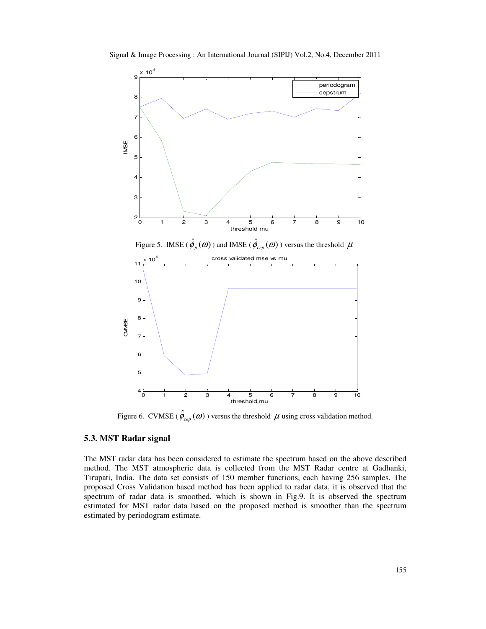



Figure 6. CVMSE ( $\hat{\phi}_{cep}(\omega)$ ) versus the threshold  $\mu$  using cross validation method.

#### **5.3. MST Radar signal**

The MST radar data has been considered to estimate the spectrum based on the above described method. The MST atmospheric data is collected from the MST Radar centre at Gadhanki, Tirupati, India. The data set consists of 150 member functions, each having 256 samples. The proposed Cross Validation based method has been applied to radar data, it is observed that the spectrum of radar data is smoothed, which is shown in Fig.9. It is observed the spectrum estimated for MST radar data based on the proposed method is smoother than the spectrum estimated by periodogram estimate.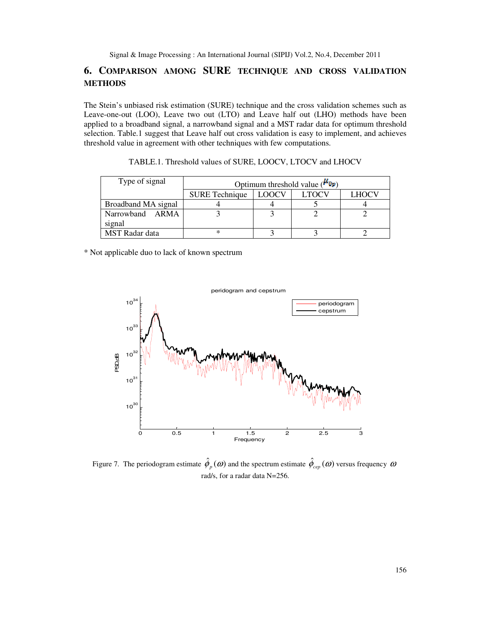# **6. COMPARISON AMONG SURE TECHNIQUE AND CROSS VALIDATION METHODS**

The Stein's unbiased risk estimation (SURE) technique and the cross validation schemes such as Leave-one-out (LOO), Leave two out (LTO) and Leave half out (LHO) methods have been applied to a broadband signal, a narrowband signal and a MST radar data for optimum threshold selection. Table.1 suggest that Leave half out cross validation is easy to implement, and achieves threshold value in agreement with other techniques with few computations.

| Type of signal        | Optimum threshold value ( $\mu_{\text{Up}}$ ) |       |       |       |
|-----------------------|-----------------------------------------------|-------|-------|-------|
|                       | <b>SURE Technique</b>                         | LOOCV | LTOCV | LHOCV |
| Broadband MA signal   |                                               |       |       |       |
| Narrowband ARMA       |                                               |       |       |       |
| signal                |                                               |       |       |       |
| <b>MST</b> Radar data | ∗                                             |       |       |       |

| TABLE.1. Threshold values of SURE, LOOCV, LTOCV and LHOCV |  |
|-----------------------------------------------------------|--|
|-----------------------------------------------------------|--|

\* Not applicable duo to lack of known spectrum



Figure 7. The periodogram estimate  $\hat{\phi}_p(\omega)$  and the spectrum estimate  $\hat{\phi}_{cep}(\omega)$  versus frequency  $\omega$ rad/s, for a radar data N=256.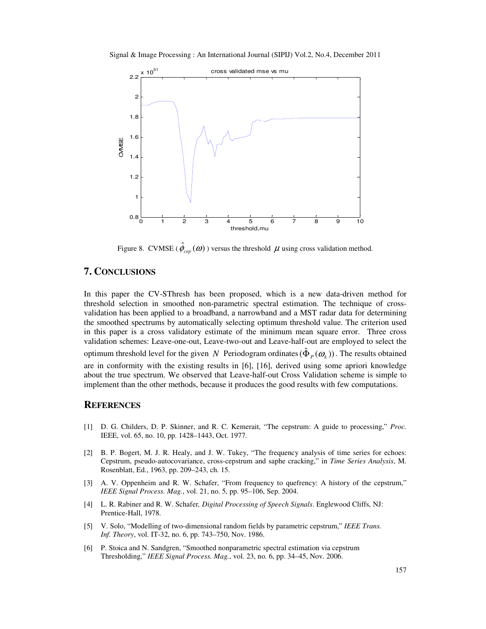Signal & Image Processing : An International Journal (SIPIJ) Vol.2, No.4, December 2011



Figure 8. CVMSE ( $\hat{\phi}_{cep}(\omega)$ ) versus the threshold  $\mu$  using cross validation method.

## **7. CONCLUSIONS**

In this paper the CV-SThresh has been proposed, which is a new data-driven method for threshold selection in smoothed non-parametric spectral estimation. The technique of crossvalidation has been applied to a broadband, a narrowband and a MST radar data for determining the smoothed spectrums by automatically selecting optimum threshold value. The criterion used in this paper is a cross validatory estimate of the minimum mean square error. Three cross validation schemes: Leave-one-out, Leave-two-out and Leave-half-out are employed to select the optimum threshold level for the given *N* Periodogram ordinates  $(\hat{\Phi}_p(\omega_k))$ . The results obtained are in conformity with the existing results in [6], [16], derived using some apriori knowledge about the true spectrum. We observed that Leave-half-out Cross Validation scheme is simple to implement than the other methods, because it produces the good results with few computations.

#### **REFERENCES**

- [1] D. G. Childers, D. P. Skinner, and R. C. Kemerait, "The cepstrum: A guide to processing," *Proc.*  IEEE, vol. 65, no. 10, pp. 1428–1443, Oct. 1977.
- [2] B. P. Bogert, M. J. R. Healy, and J. W. Tukey, "The frequency analysis of time series for echoes: Cepstrum, pseudo-autocovariance, cross-cepstrum and saphe cracking," in *Time Series Analysis*, M. Rosenblatt, Ed., 1963, pp. 209–243, ch. 15.
- [3] A. V. Oppenheim and R. W. Schafer, "From frequency to quefrency: A history of the cepstrum," *IEEE Signal Process. Mag.*, vol. 21, no. 5, pp. 95–106, Sep. 2004.
- [4] L. R. Rabiner and R. W. Schafer*, Digital Processing of Speech Signals*. Englewood Cliffs, NJ: Prentice-Hall, 1978.
- [5] V. Solo, "Modelling of two-dimensional random fields by parametric cepstrum," *IEEE Trans. Inf. Theory*, vol. IT-32, no. 6, pp. 743–750, Nov. 1986.
- [6] P. Stoica and N. Sandgren, "Smoothed nonparametric spectral estimation via cepstrum Thresholding," *IEEE Signal Process. Mag.*, vol. 23, no. 6, pp. 34–45, Nov. 2006.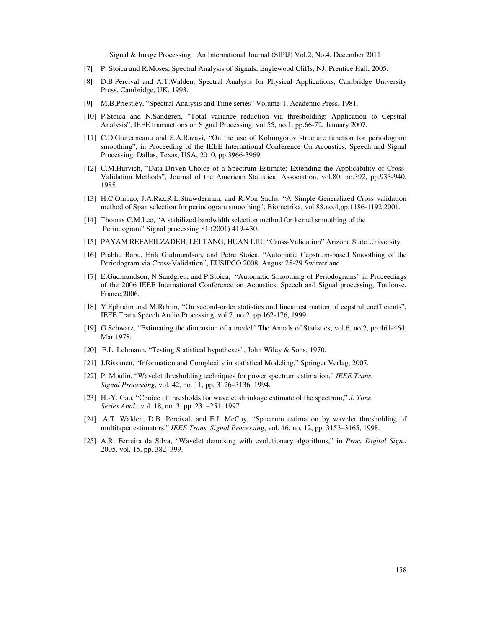- [7] P. Stoica and R.Moses, Spectral Analysis of Signals, Englewood Cliffs, NJ: Prentice Hall, 2005.
- [8] D.B.Percival and A.T.Walden, Spectral Analysis for Physical Applications, Cambridge University Press, Cambridge, UK, 1993.
- [9] M.B.Priestley, "Spectral Analysis and Time series" Volume-1, Academic Press, 1981.
- [10] P.Stoica and N.Sandgren, "Total variance reduction via thresholding: Application to Cepstral Analysis", IEEE transactions on Signal Processing, vol.55, no.1, pp.66-72, January 2007.
- [11] C.D.Giurcaneanu and S.A.Razavi, "On the use of Kolmogorov structure function for periodogram smoothing", in Proceeding of the IEEE International Conference On Acoustics, Speech and Signal Processing, Dallas, Texas, USA, 2010, pp.3966-3969.
- [12] C.M.Hurvich, "Data-Driven Choice of a Spectrum Estimate: Extending the Applicability of Cross-Validation Methods", Journal of the American Statistical Association, vol.80, no.392, pp.933-940, 1985.
- [13] H.C.Ombao, J.A.Raz,R.L.Strawderman, and R.Von Sachs, "A Simple Generalized Cross validation method of Span selection for periodogram smoothing", Biometrika, vol.88,no.4,pp.1186-1192,2001.
- [14] Thomas C.M.Lee, "A stabilized bandwidth selection method for kernel smoothing of the Periodogram" Signal processing 81 (2001) 419-430.
- [15] PAYAM REFAEILZADEH, LEI TANG, HUAN LIU, "Cross-Validation" Arizona State University
- [16] Prabhu Babu, Erik Gudmundson, and Petre Stoica, "Automatic Cepstrum-based Smoothing of the Periodogram via Cross-Validation", EUSIPCO 2008, August 25-29 Switzerland.
- [17] E.Gudmundson, N.Sandgren, and P.Stoica, "Automatic Smoothing of Periodograms" in Proceedings of the 2006 IEEE International Conference on Acoustics, Speech and Signal processing, Toulouse, France,2006.
- [18] Y.Ephraim and M.Rahim, "On second-order statistics and linear estimation of cepstral coefficients", IEEE Trans.Speech Audio Processing, vol.7, no.2, pp.162-176, 1999.
- [19] G.Schwarz, "Estimating the dimension of a model" The Annals of Statistics, vol.6, no.2, pp.461-464, Mar.1978.
- [20] E.L. Lehmann, "Testing Statistical hypotheses", John Wiley & Sons, 1970.
- [21] J.Rissanen, "Information and Complexity in statistical Modeling," Springer Verlag, 2007.
- [22] P. Moulin, "Wavelet thresholding techniques for power spectrum estimation," *IEEE Trans. Signal Processing*, vol. 42, no. 11, pp. 3126–3136, 1994.
- [23] H.-Y. Gao, "Choice of thresholds for wavelet shrinkage estimate of the spectrum," *J. Time Series Anal.*, vol. 18, no. 3, pp. 231–251, 1997.
- [24] A.T. Walden, D.B. Percival, and E.J. McCoy, "Spectrum estimation by wavelet thresholding of multitaper estimators," *IEEE Trans. Signal Processing*, vol. 46, no. 12, pp. 3153–3165, 1998.
- [25] A.R. Ferreira da Silva, "Wavelet denoising with evolutionary algorithms," in *Proc. Digital Sign.*, 2005, vol. 15, pp. 382–399.